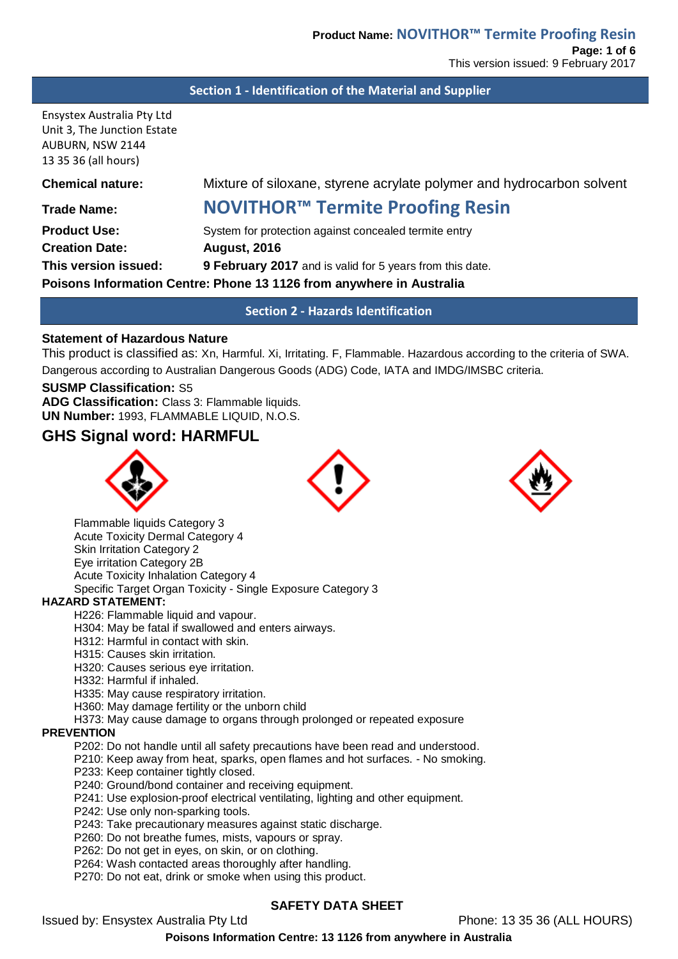#### **Section 1 - Identification of the Material and Supplier**

Ensystex Australia Pty Ltd Unit 3, The Junction Estate AUBURN, NSW 2144 13 35 36 (all hours)

## **Chemical nature:** Mixture of siloxane, styrene acrylate polymer and hydrocarbon solvent

# **Trade Name: NOVITHOR™ Termite Proofing Resin**

**Product Use:** System for protection against concealed termite entry **Creation Date: August, 2016 This version issued: 9 February 2017** and is valid for 5 years from this date. **Poisons Information Centre: Phone 13 1126 from anywhere in Australia**

**Section 2 - Hazards Identification**

### **Statement of Hazardous Nature**

This product is classified as: Xn, Harmful. Xi, Irritating. F, Flammable. Hazardous according to the criteria of SWA. Dangerous according to Australian Dangerous Goods (ADG) Code, IATA and IMDG/IMSBC criteria.

#### **SUSMP Classification:** S5

**ADG Classification:** Class 3: Flammable liquids. **UN Number:** 1993, FLAMMABLE LIQUID, N.O.S.

## **GHS Signal word: HARMFUL**



Flammable liquids Category 3 Acute Toxicity Dermal Category 4 Skin Irritation Category 2 Eye irritation Category 2B Acute Toxicity Inhalation Category 4 Specific Target Organ Toxicity - Single Exposure Category 3

#### **HAZARD STATEMENT:**

H226: Flammable liquid and vapour.

H304: May be fatal if swallowed and enters airways.

H312: Harmful in contact with skin.

H315: Causes skin irritation.

H320: Causes serious eye irritation.

H332: Harmful if inhaled.

H335: May cause respiratory irritation.

H360: May damage fertility or the unborn child

H373: May cause damage to organs through prolonged or repeated exposure

#### **PREVENTION**

P202: Do not handle until all safety precautions have been read and understood.

- P210: Keep away from heat, sparks, open flames and hot surfaces. No smoking.
- P233: Keep container tightly closed.

P240: Ground/bond container and receiving equipment.

P241: Use explosion-proof electrical ventilating, lighting and other equipment.

P242: Use only non-sparking tools.

P243: Take precautionary measures against static discharge.

P260: Do not breathe fumes, mists, vapours or spray.

P262: Do not get in eyes, on skin, or on clothing.

P264: Wash contacted areas thoroughly after handling.

P270: Do not eat, drink or smoke when using this product.

## **SAFETY DATA SHEET**

Issued by: Ensystex Australia Pty Ltd **Phone: 13 35 36 (ALL HOURS)** 

**Poisons Information Centre: 13 1126 from anywhere in Australia**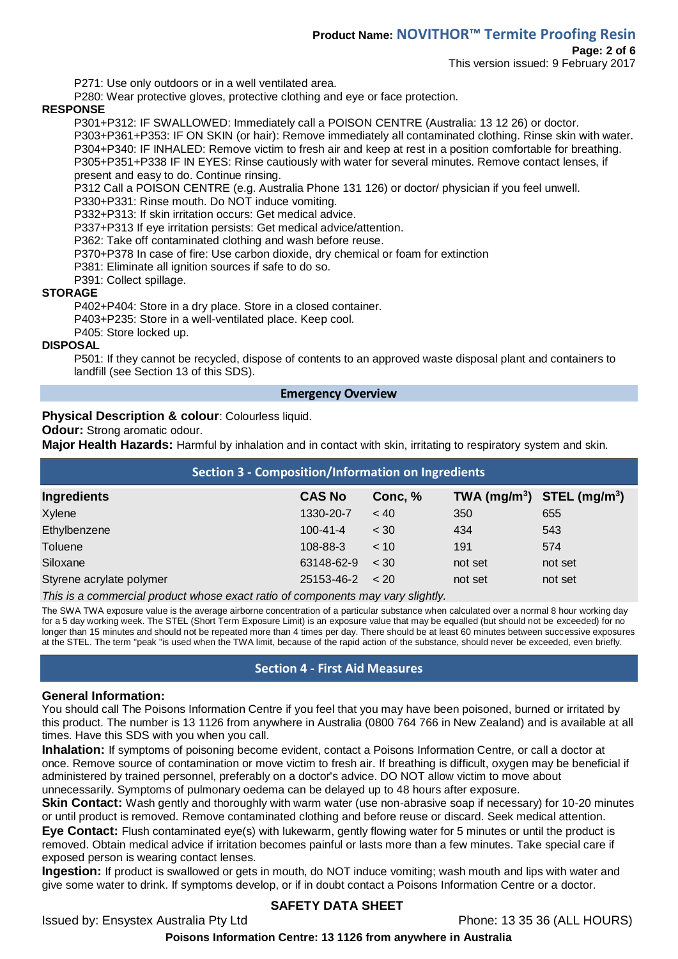This version issued: 9 February 2017

P271: Use only outdoors or in a well ventilated area.

P280: Wear protective gloves, protective clothing and eye or face protection.

## **RESPONSE**

P301+P312: IF SWALLOWED: Immediately call a POISON CENTRE (Australia: 13 12 26) or doctor. P303+P361+P353: IF ON SKIN (or hair): Remove immediately all contaminated clothing. Rinse skin with water. P304+P340: IF INHALED: Remove victim to fresh air and keep at rest in a position comfortable for breathing. P305+P351+P338 IF IN EYES: Rinse cautiously with water for several minutes. Remove contact lenses, if present and easy to do. Continue rinsing.

P312 Call a POISON CENTRE (e.g. Australia Phone 131 126) or doctor/ physician if you feel unwell.

P330+P331: Rinse mouth. Do NOT induce vomiting.

P332+P313: If skin irritation occurs: Get medical advice.

P337+P313 If eye irritation persists: Get medical advice/attention.

P362: Take off contaminated clothing and wash before reuse.

P370+P378 In case of fire: Use carbon dioxide, dry chemical or foam for extinction

P381: Eliminate all ignition sources if safe to do so.

P391: Collect spillage.

#### **STORAGE**

P402+P404: Store in a dry place. Store in a closed container.

P403+P235: Store in a well-ventilated place. Keep cool.

P405: Store locked up.

#### **DISPOSAL**

P501: If they cannot be recycled, dispose of contents to an approved waste disposal plant and containers to landfill (see Section 13 of this SDS).

#### **Emergency Overview**

#### **Physical Description & colour**: Colourless liquid.

**Odour:** Strong aromatic odour.

**Major Health Hazards:** Harmful by inhalation and in contact with skin, irritating to respiratory system and skin.

| <b>Section 3 - Composition/Information on Ingredients</b> |                |         |                                |         |
|-----------------------------------------------------------|----------------|---------|--------------------------------|---------|
| <b>Ingredients</b>                                        | <b>CAS No</b>  | Conc, % | TWA $(mg/m^3)$ STEL $(mg/m^3)$ |         |
| Xylene                                                    | 1330-20-7      | ~< 40   | 350                            | 655     |
| Ethylbenzene                                              | $100 - 41 - 4$ | < 30    | 434                            | 543     |
| Toluene                                                   | 108-88-3       | < 10    | 191                            | 574     |
| Siloxane                                                  | 63148-62-9     | $~<$ 30 | not set                        | not set |
| Styrene acrylate polymer                                  | 25153-46-2     | < 20    | not set                        | not set |

*This is a commercial product whose exact ratio of components may vary slightly.* 

The SWA TWA exposure value is the average airborne concentration of a particular substance when calculated over a normal 8 hour working day for a 5 day working week. The STEL (Short Term Exposure Limit) is an exposure value that may be equalled (but should not be exceeded) for no longer than 15 minutes and should not be repeated more than 4 times per day. There should be at least 60 minutes between successive exposures at the STEL. The term "peak "is used when the TWA limit, because of the rapid action of the substance, should never be exceeded, even briefly.

### **Section 4 - First Aid Measures**

### **General Information:**

You should call The Poisons Information Centre if you feel that you may have been poisoned, burned or irritated by this product. The number is 13 1126 from anywhere in Australia (0800 764 766 in New Zealand) and is available at all times. Have this SDS with you when you call.

**Inhalation:** If symptoms of poisoning become evident, contact a Poisons Information Centre, or call a doctor at once. Remove source of contamination or move victim to fresh air. If breathing is difficult, oxygen may be beneficial if administered by trained personnel, preferably on a doctor's advice. DO NOT allow victim to move about unnecessarily. Symptoms of pulmonary oedema can be delayed up to 48 hours after exposure.

**Skin Contact:** Wash gently and thoroughly with warm water (use non-abrasive soap if necessary) for 10-20 minutes or until product is removed. Remove contaminated clothing and before reuse or discard. Seek medical attention. **Eye Contact:** Flush contaminated eye(s) with lukewarm, gently flowing water for 5 minutes or until the product is removed. Obtain medical advice if irritation becomes painful or lasts more than a few minutes. Take special care if exposed person is wearing contact lenses.

**Ingestion:** If product is swallowed or gets in mouth, do NOT induce vomiting; wash mouth and lips with water and give some water to drink. If symptoms develop, or if in doubt contact a Poisons Information Centre or a doctor.

### **SAFETY DATA SHEET**

Issued by: Ensystex Australia Pty Ltd **Phone: 13 35 36 (ALL HOURS)** 

**Poisons Information Centre: 13 1126 from anywhere in Australia**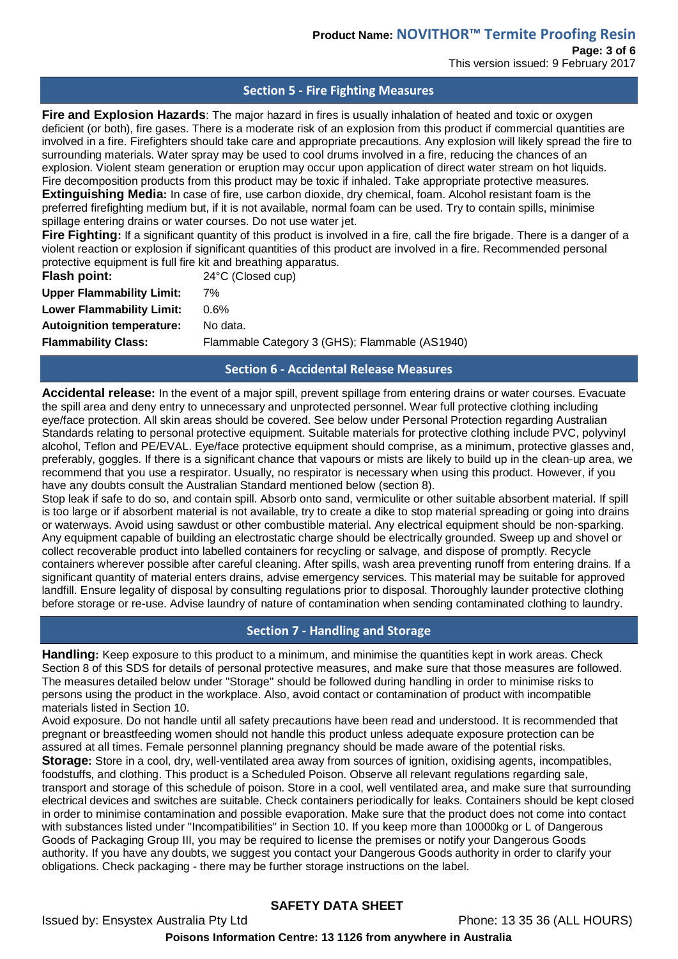# **Product Name: NOVITHOR™ Termite Proofing Resin**

**Page: 3 of 6**

This version issued: 9 February 2017

#### **Section 5 - Fire Fighting Measures**

**Fire and Explosion Hazards**: The major hazard in fires is usually inhalation of heated and toxic or oxygen deficient (or both), fire gases. There is a moderate risk of an explosion from this product if commercial quantities are involved in a fire. Firefighters should take care and appropriate precautions. Any explosion will likely spread the fire to surrounding materials. Water spray may be used to cool drums involved in a fire, reducing the chances of an explosion. Violent steam generation or eruption may occur upon application of direct water stream on hot liquids. Fire decomposition products from this product may be toxic if inhaled. Take appropriate protective measures. **Extinguishing Media:** In case of fire, use carbon dioxide, dry chemical, foam. Alcohol resistant foam is the preferred firefighting medium but, if it is not available, normal foam can be used. Try to contain spills, minimise spillage entering drains or water courses. Do not use water jet.

**Fire Fighting:** If a significant quantity of this product is involved in a fire, call the fire brigade. There is a danger of a violent reaction or explosion if significant quantities of this product are involved in a fire. Recommended personal protective equipment is full fire kit and breathing apparatus.

| Flash point:                     | 24°C (Closed cup)                              |
|----------------------------------|------------------------------------------------|
| <b>Upper Flammability Limit:</b> | 7%                                             |
| <b>Lower Flammability Limit:</b> | $0.6\%$                                        |
| <b>Autoignition temperature:</b> | No data.                                       |
| <b>Flammability Class:</b>       | Flammable Category 3 (GHS); Flammable (AS1940) |
|                                  |                                                |

## **Section 6 - Accidental Release Measures**

**Accidental release:** In the event of a major spill, prevent spillage from entering drains or water courses. Evacuate the spill area and deny entry to unnecessary and unprotected personnel. Wear full protective clothing including eye/face protection. All skin areas should be covered. See below under Personal Protection regarding Australian Standards relating to personal protective equipment. Suitable materials for protective clothing include PVC, polyvinyl alcohol, Teflon and PE/EVAL. Eye/face protective equipment should comprise, as a minimum, protective glasses and, preferably, goggles. If there is a significant chance that vapours or mists are likely to build up in the clean-up area, we recommend that you use a respirator. Usually, no respirator is necessary when using this product. However, if you have any doubts consult the Australian Standard mentioned below (section 8).

Stop leak if safe to do so, and contain spill. Absorb onto sand, vermiculite or other suitable absorbent material. If spill is too large or if absorbent material is not available, try to create a dike to stop material spreading or going into drains or waterways. Avoid using sawdust or other combustible material. Any electrical equipment should be non-sparking. Any equipment capable of building an electrostatic charge should be electrically grounded. Sweep up and shovel or collect recoverable product into labelled containers for recycling or salvage, and dispose of promptly. Recycle containers wherever possible after careful cleaning. After spills, wash area preventing runoff from entering drains. If a significant quantity of material enters drains, advise emergency services. This material may be suitable for approved landfill. Ensure legality of disposal by consulting regulations prior to disposal. Thoroughly launder protective clothing before storage or re-use. Advise laundry of nature of contamination when sending contaminated clothing to laundry.

### **Section 7 - Handling and Storage**

**Handling:** Keep exposure to this product to a minimum, and minimise the quantities kept in work areas. Check Section 8 of this SDS for details of personal protective measures, and make sure that those measures are followed. The measures detailed below under "Storage" should be followed during handling in order to minimise risks to persons using the product in the workplace. Also, avoid contact or contamination of product with incompatible materials listed in Section 10.

Avoid exposure. Do not handle until all safety precautions have been read and understood. It is recommended that pregnant or breastfeeding women should not handle this product unless adequate exposure protection can be assured at all times. Female personnel planning pregnancy should be made aware of the potential risks. **Storage:** Store in a cool, dry, well-ventilated area away from sources of ignition, oxidising agents, incompatibles, foodstuffs, and clothing. This product is a Scheduled Poison. Observe all relevant regulations regarding sale, transport and storage of this schedule of poison. Store in a cool, well ventilated area, and make sure that surrounding electrical devices and switches are suitable. Check containers periodically for leaks. Containers should be kept closed in order to minimise contamination and possible evaporation. Make sure that the product does not come into contact with substances listed under "Incompatibilities" in Section 10. If you keep more than 10000kg or L of Dangerous Goods of Packaging Group III, you may be required to license the premises or notify your Dangerous Goods authority. If you have any doubts, we suggest you contact your Dangerous Goods authority in order to clarify your obligations. Check packaging - there may be further storage instructions on the label.

## **SAFETY DATA SHEET**

Issued by: Ensystex Australia Pty Ltd Phone: 13 35 36 (ALL HOURS) **Poisons Information Centre: 13 1126 from anywhere in Australia**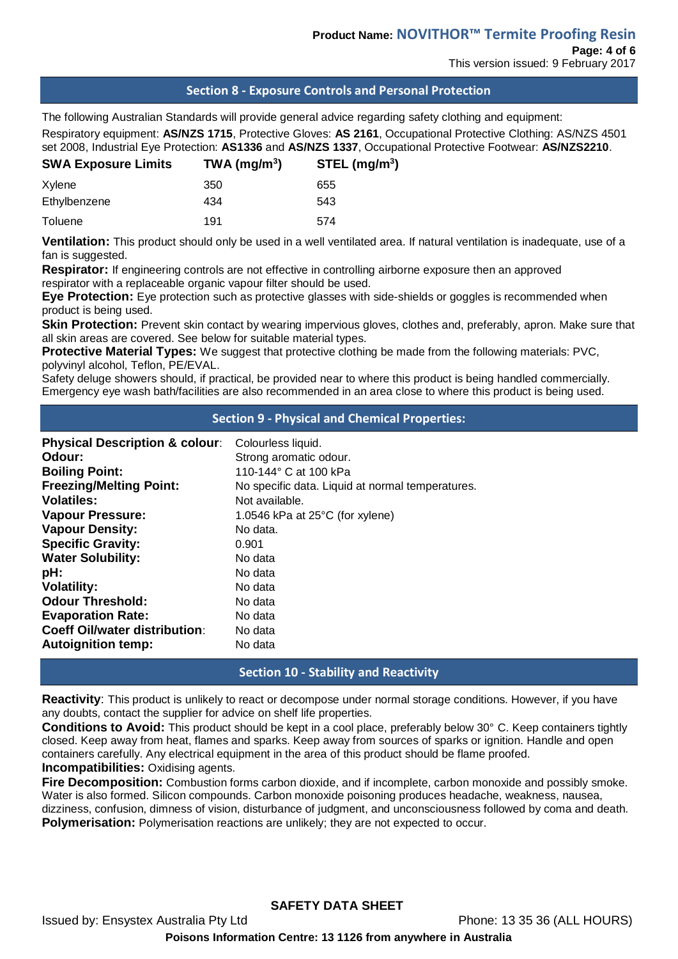This version issued: 9 February 2017

## **Section 8 - Exposure Controls and Personal Protection**

The following Australian Standards will provide general advice regarding safety clothing and equipment: Respiratory equipment: **AS/NZS 1715**, Protective Gloves: **AS 2161**, Occupational Protective Clothing: AS/NZS 4501 set 2008, Industrial Eye Protection: **AS1336** and **AS/NZS 1337**, Occupational Protective Footwear: **AS/NZS2210**. **SWA Exposure Limits TWA (mg/m<sup>3</sup>**

| <b>SWA Exposure Limits</b> | TWA ( $mg/m3$ ) | $STEL$ (mg/m <sup>3</sup> ) |
|----------------------------|-----------------|-----------------------------|
| Xylene                     | 350             | 655                         |
| Ethylbenzene               | 434             | 543                         |
| Toluene                    | 191             | 574                         |

**Ventilation:** This product should only be used in a well ventilated area. If natural ventilation is inadequate, use of a fan is suggested.

**Respirator:** If engineering controls are not effective in controlling airborne exposure then an approved respirator with a replaceable organic vapour filter should be used.

**Eye Protection:** Eye protection such as protective glasses with side-shields or goggles is recommended when product is being used.

**Skin Protection:** Prevent skin contact by wearing impervious gloves, clothes and, preferably, apron. Make sure that all skin areas are covered. See below for suitable material types.

**Protective Material Types:** We suggest that protective clothing be made from the following materials: PVC, polyvinyl alcohol, Teflon, PE/EVAL.

Safety deluge showers should, if practical, be provided near to where this product is being handled commercially. Emergency eye wash bath/facilities are also recommended in an area close to where this product is being used.

#### **Section 9 - Physical and Chemical Properties:**

| <b>Physical Description &amp; colour:</b><br>Odour:<br><b>Boiling Point:</b> | Colourless liquid.<br>Strong aromatic odour.<br>110-144° C at 100 kPa |
|------------------------------------------------------------------------------|-----------------------------------------------------------------------|
| <b>Freezing/Melting Point:</b>                                               | No specific data. Liquid at normal temperatures.                      |
| <b>Volatiles:</b>                                                            | Not available.                                                        |
| <b>Vapour Pressure:</b>                                                      | 1.0546 kPa at $25^{\circ}$ C (for xylene)                             |
| <b>Vapour Density:</b>                                                       | No data.                                                              |
| <b>Specific Gravity:</b>                                                     | 0.901                                                                 |
| <b>Water Solubility:</b>                                                     | No data                                                               |
| pH:                                                                          | No data                                                               |
| <b>Volatility:</b>                                                           | No data                                                               |
| <b>Odour Threshold:</b>                                                      | No data                                                               |
| <b>Evaporation Rate:</b>                                                     | No data                                                               |
| <b>Coeff Oil/water distribution:</b>                                         | No data                                                               |
| <b>Autoignition temp:</b>                                                    | No data                                                               |

### **Section 10 - Stability and Reactivity**

**Reactivity**: This product is unlikely to react or decompose under normal storage conditions. However, if you have any doubts, contact the supplier for advice on shelf life properties.

**Conditions to Avoid:** This product should be kept in a cool place, preferably below 30° C. Keep containers tightly closed. Keep away from heat, flames and sparks. Keep away from sources of sparks or ignition. Handle and open containers carefully. Any electrical equipment in the area of this product should be flame proofed. **Incompatibilities:** Oxidising agents.

**Fire Decomposition:** Combustion forms carbon dioxide, and if incomplete, carbon monoxide and possibly smoke. Water is also formed. Silicon compounds. Carbon monoxide poisoning produces headache, weakness, nausea, dizziness, confusion, dimness of vision, disturbance of judgment, and unconsciousness followed by coma and death. **Polymerisation:** Polymerisation reactions are unlikely; they are not expected to occur.

## **SAFETY DATA SHEET**

Issued by: Ensystex Australia Pty Ltd Phone: 13 35 36 (ALL HOURS) **Poisons Information Centre: 13 1126 from anywhere in Australia**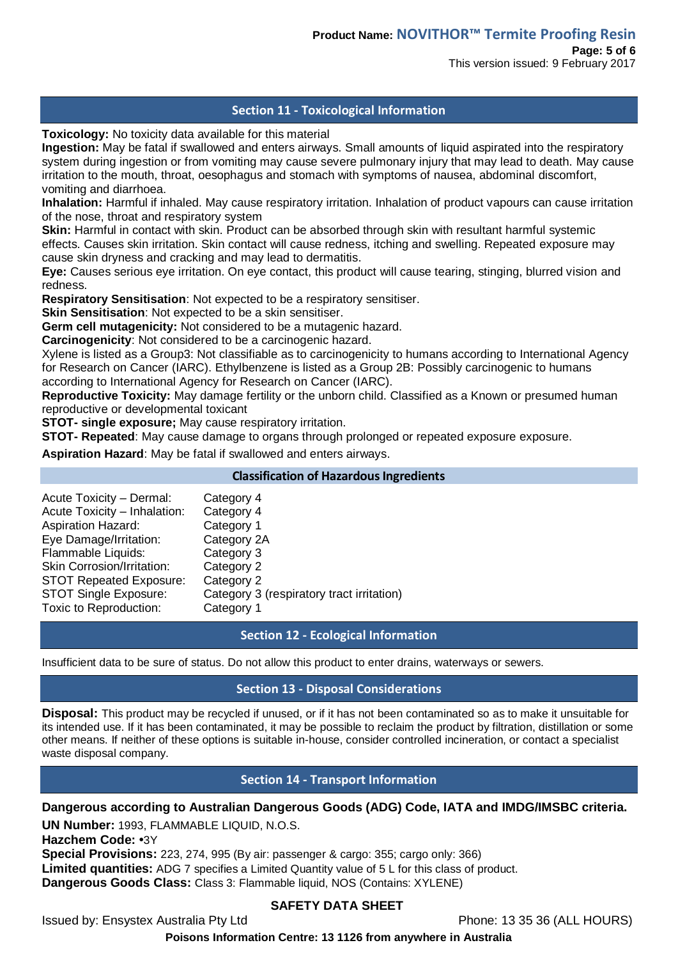## **Section 11 - Toxicological Information**

**Toxicology:** No toxicity data available for this material

**Ingestion:** May be fatal if swallowed and enters airways. Small amounts of liquid aspirated into the respiratory system during ingestion or from vomiting may cause severe pulmonary injury that may lead to death. May cause irritation to the mouth, throat, oesophagus and stomach with symptoms of nausea, abdominal discomfort, vomiting and diarrhoea.

**Inhalation:** Harmful if inhaled. May cause respiratory irritation. Inhalation of product vapours can cause irritation of the nose, throat and respiratory system

**Skin:** Harmful in contact with skin. Product can be absorbed through skin with resultant harmful systemic effects. Causes skin irritation. Skin contact will cause redness, itching and swelling. Repeated exposure may cause skin dryness and cracking and may lead to dermatitis.

**Eye:** Causes serious eye irritation. On eye contact, this product will cause tearing, stinging, blurred vision and redness.

**Respiratory Sensitisation**: Not expected to be a respiratory sensitiser.

**Skin Sensitisation:** Not expected to be a skin sensitiser.

**Germ cell mutagenicity:** Not considered to be a mutagenic hazard.

**Carcinogenicity**: Not considered to be a carcinogenic hazard.

Xylene is listed as a Group3: Not classifiable as to carcinogenicity to humans according to International Agency for Research on Cancer (IARC). Ethylbenzene is listed as a Group 2B: Possibly carcinogenic to humans according to International Agency for Research on Cancer (IARC).

**Reproductive Toxicity:** May damage fertility or the unborn child. Classified as a Known or presumed human reproductive or developmental toxicant

**STOT- single exposure;** May cause respiratory irritation.

**STOT- Repeated**: May cause damage to organs through prolonged or repeated exposure exposure.

**Aspiration Hazard**: May be fatal if swallowed and enters airways.

#### **Classification of Hazardous Ingredients**

| Acute Toxicity - Dermal:          | Category 4                                |
|-----------------------------------|-------------------------------------------|
| Acute Toxicity - Inhalation:      | Category 4                                |
| Aspiration Hazard:                | Category 1                                |
| Eye Damage/Irritation:            | Category 2A                               |
| Flammable Liquids:                | Category 3                                |
| <b>Skin Corrosion/Irritation:</b> | Category 2                                |
| <b>STOT Repeated Exposure:</b>    | Category 2                                |
| <b>STOT Single Exposure:</b>      | Category 3 (respiratory tract irritation) |
| Toxic to Reproduction:            | Category 1                                |
|                                   |                                           |

### **Section 12 - Ecological Information**

Insufficient data to be sure of status. Do not allow this product to enter drains, waterways or sewers.

### **Section 13 - Disposal Considerations**

**Disposal:** This product may be recycled if unused, or if it has not been contaminated so as to make it unsuitable for its intended use. If it has been contaminated, it may be possible to reclaim the product by filtration, distillation or some other means. If neither of these options is suitable in-house, consider controlled incineration, or contact a specialist waste disposal company.

### **Section 14 - Transport Information**

**Dangerous according to Australian Dangerous Goods (ADG) Code, IATA and IMDG/IMSBC criteria.** 

**UN Number:** 1993, FLAMMABLE LIQUID, N.O.S.

**Hazchem Code: •**3Y

**Special Provisions:** 223, 274, 995 (By air: passenger & cargo: 355; cargo only: 366) **Limited quantities:** ADG 7 specifies a Limited Quantity value of 5 L for this class of product. **Dangerous Goods Class:** Class 3: Flammable liquid, NOS (Contains: XYLENE)

## **SAFETY DATA SHEET**

Issued by: Ensystex Australia Pty Ltd Phone: 13 35 36 (ALL HOURS)

**Poisons Information Centre: 13 1126 from anywhere in Australia**